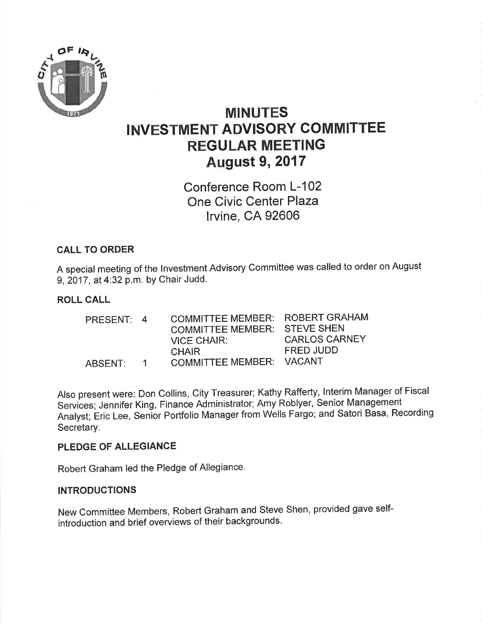

# MINUTES INVESTMENT ADVISORY COMMITTEE REGULAR MEETING August 9,2017

Conference Room L-102 One Civic Center Plaza lrvine, CA 92606

# CALL TO ORDER

A special meeting of the lnvestment Advisory Committee was called to order on August 9, 2017, at 4:32 p.m. by Chair Judd.

### ROLL CALL

| PRESENT: 4 |              | <b>COMMITTEE MEMBER:</b><br>COMMITTEE MEMBER: STEVE SHEN<br><b>VICE CHAIR:</b><br><b>CHAIR</b> | ROBERT GRAHAM<br><b>CARLOS CARNEY</b><br>FRED JUDD |
|------------|--------------|------------------------------------------------------------------------------------------------|----------------------------------------------------|
| ARSENT:    | $\mathbf{1}$ | COMMITTEE MEMBER: VACANT                                                                       |                                                    |

Also present were: Don Collins, City Treasurer; Kathy Rafferty, lnterim\_Manager of Fiscal Services; Jennifer King, Finance Administrator; Amy Roblyer, Senior Management Analyst; Eric Lee, Senior Portfolio Manager from Wells Fargo; and Satori Basa, Recording Secretary.

#### PLEDGE OF ALLEGIANCE

Robert Graham led the Pledge of Allegiance.

### INTRODUCTIONS

New Committee Members, Robert Graham and Steve Shen, provided gave selfintroduction and brief overviews of their backgrounds.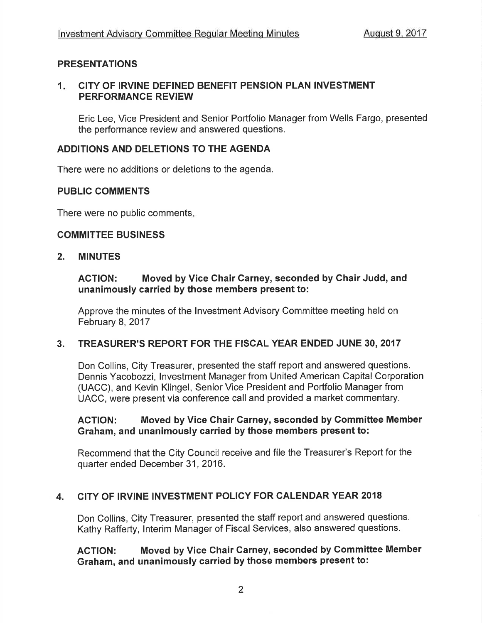# PRESENTATIONS

#### $1<sub>-</sub>$ CITY OF IRVINE DEFINED BENEFIT PENSION PLAN INVESTMENT PERFORMANCE REVIEW

Eric Lee, Vice President and Senior Portfolio Manager from Wells Fargo, presented the performance review and answered questions.

# ADDITIONS AND DELETIONS TO THE AGENDA

There were no additions or deletions to the agenda.

#### **PUBLIC COMMENTS**

There were no public comments

#### COMMITTEE BUSINESS

#### 2. MINUTES

#### ACTION: Moved by Vice Chair Carney, seconded by Chair Judd, and unanimously carried by those members present to:

Approve the minutes of the lnvestment Advisory Committee meeting held on February 8, 2017

### 3. TREASURER'S REPORT FOR THE FISCAL YEAR ENDED JUNE 30,2017

Don Collins, City Treasurer, presented the staff report and answered questions. Dennis Yacobozzi, lnvestment Manager from United American Capital Corporation (UACC), and Kevin Klingel, Senior Vice President and Portfolio Manager from UACC, were present via conference call and provided a market commentary.

#### AGTION: Moved by Vice Chair Garney, seconded by Gommittee Member Graham, and unanimously carried by those members present to:

Recommend that the City Council receive and file the Treasurer's Report for the quarter ended December 31, 2016.

#### 4. CITY OF IRVINE INVESTMENT POLICY FOR CALENDAR YEAR <sup>2018</sup>

Don Collins, City Treasurer, presented the staff report and answered questions. Kathy Rafferty, lnterim Manager of Fiscal Services, also answered questions.

### ACTION: Moved by Vice Chair Carney, seconded by Committee Member Graham, and unanimously carried by those members present to: